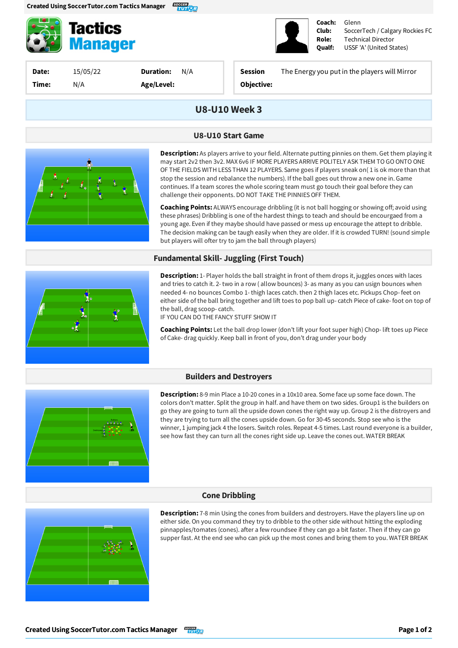

**Tactics Manager** 

**Date:** 15/05/22 **Time:** N/A

**Duration:** N/A **Age/Level:**

**Session** The Energyyou putin the players will Mirror

**Coach: Club: Role: Qualf:**

Glenn

Technical Director USSF'A' (United States)

SoccerTech / Calgary Rockies FC

**Objective:**

## **U8-U10Week 3**

#### **U8-U10 Start Game**



**Description:** As players arrive to your field. Alternate putting pinnies on them. Get them playing it may start 2v2 then 3v2. MAX 6v6 IF MORE PLAYERS ARRIVE POLITELY ASK THEM TO GO ONTO ONE OF THE FIELDS WITH LESS THAN 12 PLAYERS. Same goes if players sneak on(1 is ok more than that stop the session and rebalance the numbers). If the ball goes out throw a new one in. Game continues. If a team scores the whole scoring team must go touch their goal before they can challenge their opponents. DO NOT TAKE THE PINNIES OFF THEM.

**Coaching Points:** ALWAYS encourage dribbling (it is not ball hogging or showing off; avoid using these phrases) Dribbling is one of the hardest things to teach and should be encourgaed from a young age. Even if they maybe should have passed or mess up encourage the attept to dribble. The decision making can be taugh easily when they are older. If it is crowded TURN! (sound simple but players will ofter try to jam the ball through players)

#### **Fundamental Skill- Juggling (First Touch)**



**Description:**1- Player holds the ball straight in front of them drops it, juggles onces with laces and tries to catch it. 2- two in a row (allow bounces) 3- as many as you can usign bounces when needed 4- no bounces Combo 1- thigh laces catch. then 2 thigh laces etc. Pickups Chop- feet on either side of the ball bring together and lift toes to pop ball up-catch Piece of cake- foot on top of the ball, drag scoop-catch.

IFYOU CAN DO THE FANCY STUFF SHOW IT

**Coaching Points:**Let the ball drop lower (don't liftyour foot super high) Chop- lift toes up Piece of Cake- drag quickly. Keep ball in front of you, don't drag under your body

#### **Builders and Destroyers**



**Description:** 8-9 min Place a 10-20 cones in a 10x10 area. Some face up some face down. The colors don't matter. Split the group in half. and have them on two sides. Group1 is the builders on go they are going to turn all the upside down cones the right way up. Group 2 is the distroyers and they are trying to turn all the cones upside down. Go for 30-45 seconds. Stop see who is the winner, 1 jumping jack 4 the losers. Switch roles. Repeat 4-5 times. Last round everyone is a builder, see how fast they can turn all the cones right side up. Leave the cones out. WATER BREAK

### **Cone Dribbling**



**Description:** 7-8 min Using the cones from builders and destroyers. Have the players line up on either side. On you command they try to dribble to the other side without hitting the exploding pinnapples/tomates (cones). after a few roundsee if they can go a bit faster. Then if they can go supper fast. At the end see who can pick up the most cones and bring them to you. WATER BREAK